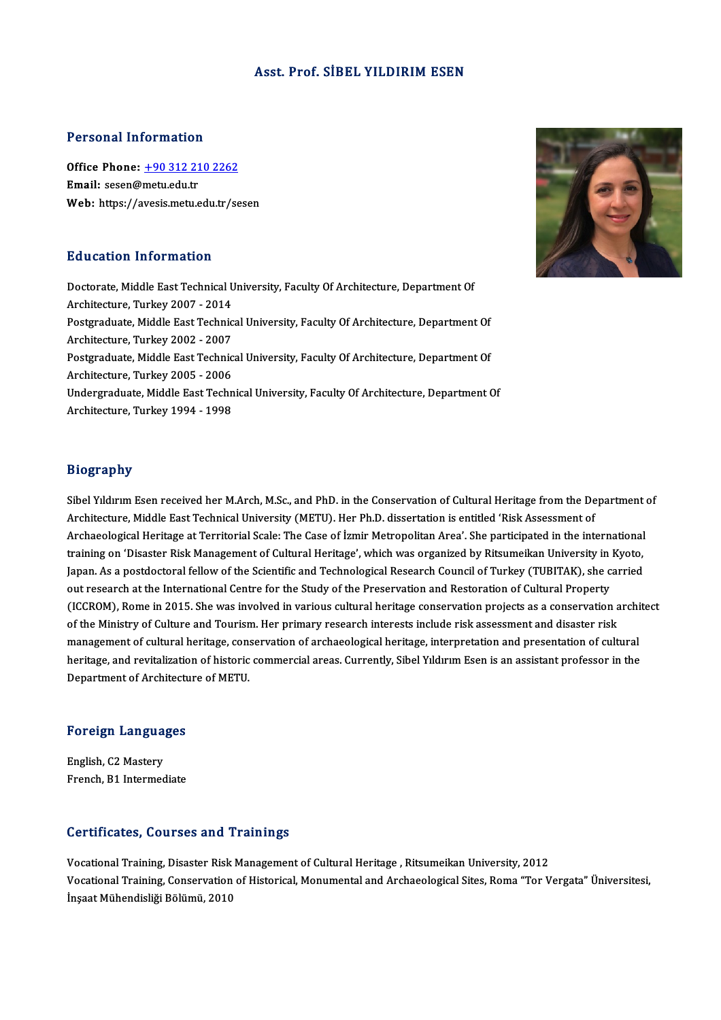### Asst. Prof. SİBEL YILDIRIMESEN

### Personal Information

Personal Information<br>Office Phone: <u>+90 312 210 2262</u><br>Email: sesen@metuedu*t*r Ferred Harry Harry<br>Office Phone: <u>+90 312 21</u><br>Email: sesen@metu.edu.tr Email: sesen@metu.edu.tr<br>Web: https://a[vesis.metu.edu.tr/se](tel:+90 312 210 2262)sen

### Education Information

Education Information<br>Doctorate, Middle East Technical University, Faculty Of Architecture, Department Of Architecture, Middle East Technical U<br>Architecture, Turkey 2007 - 2014<br>Bestaugduste, Middle East Technic Doctorate, Middle East Technical University, Faculty Of Architecture, Department Of<br>Architecture, Turkey 2007 - 2014<br>Postgraduate, Middle East Technical University, Faculty Of Architecture, Department Of Architecture, Turkey 2007 - 2014<br>Postgraduate, Middle East Technic<br>Architecture, Turkey 2002 - 2007<br>Postgraduate, Middle Fast Technic Postgraduate, Middle East Technical University, Faculty Of Architecture, Department Of<br>Architecture, Turkey 2002 - 2007<br>Postgraduate, Middle East Technical University, Faculty Of Architecture, Department Of Architecture, Turkey 2002 - 2007<br>Postgraduate, Middle East Technic<br>Architecture, Turkey 2005 - 2006<br>Undergraduate, Middle East Techn Postgraduate, Middle East Technical University, Faculty Of Architecture, Department Of<br>Architecture, Turkey 2005 - 2006<br>Undergraduate, Middle East Technical University, Faculty Of Architecture, Department Of<br>Architecture, Architecture, Turkey 2005 - 2006<br>Undergraduate, Middle East Technical University, Faculty Of Architecture, Department Of<br>Architecture, Turkey 1994 - 1998

# Biography

Biography<br>Sibel Yıldırım Esen received her M.Arch, M.Sc., and PhD. in the Conservation of Cultural Heritage from the Department of<br>Architecture Middle Fast Technical University (METU), Her Ph.D. discertation is entitled 'P Bibel Yıldırım Esen received her M.Arch, M.Sc., and PhD. in the Conservation of Cultural Heritage from the De<br>Architecture, Middle East Technical University (METU). Her Ph.D. dissertation is entitled 'Risk Assessment of<br>Ar Sibel Yıldırım Esen received her M.Arch, M.Sc., and PhD. in the Conservation of Cultural Heritage from the Department<br>Architecture, Middle East Technical University (METU). Her Ph.D. dissertation is entitled 'Risk Assessme Architecture, Middle East Technical University (METU). Her Ph.D. dissertation is entitled 'Risk Assessment of<br>Archaeological Heritage at Territorial Scale: The Case of İzmir Metropolitan Area'. She participated in the inte Archaeological Heritage at Territorial Scale: The Case of İzmir Metropolitan Area'. She participated in the international<br>training on 'Disaster Risk Management of Cultural Heritage', which was organized by Ritsumeikan Univ training on 'Disaster Risk Management of Cultural Heritage', which was organized by Ritsumeikan University in<br>Japan. As a postdoctoral fellow of the Scientific and Technological Research Council of Turkey (TUBITAK), she c<br> Japan. As a postdoctoral fellow of the Scientific and Technological Research Council of Turkey (TUBITAK), she carried<br>out research at the International Centre for the Study of the Preservation and Restoration of Cultural P out research at the International Centre for the Study of the Preservation and Restoration of Cultural Property<br>(ICCROM), Rome in 2015. She was involved in various cultural heritage conservation projects as a conservation (ICCROM), Rome in 2015. She was involved in various cultural heritage conservation projects as a conservation archived for the Ministry of Culture and Tourism. Her primary research interests include risk assessment and dis of the Ministry of Culture and Tourism. Her primary research interests include risk assessment and disaster risk<br>management of cultural heritage, conservation of archaeological heritage, interpretation and presentation of management of cultural heritage, con:<br>heritage, and revitalization of historic<br>Department of Architecture of METU.

# **Department of Architecti**<br>Foreign Languages

Foreign Langua<br>English, C2 Mastery<br>Erench P1 Intermed English, C2 Mastery<br>French, B1 Intermediate

## Certificates, Courses and Trainings

Vocational Training, Disaster Risk Management of Cultural Heritage, Ritsumeikan University, 2012 Vocational Training, Disaster Risk Management of Cultural Heritage , Ritsumeikan University, 2012<br>Vocational Training, Disaster Risk Management of Cultural Heritage , Ritsumeikan University, 2012<br>Inseat Mühandisliği Bölümü Vocational Training, Disaster Risk<br>Vocational Training, Conservation<br>İnşaat Mühendisliği Bölümü, 2010